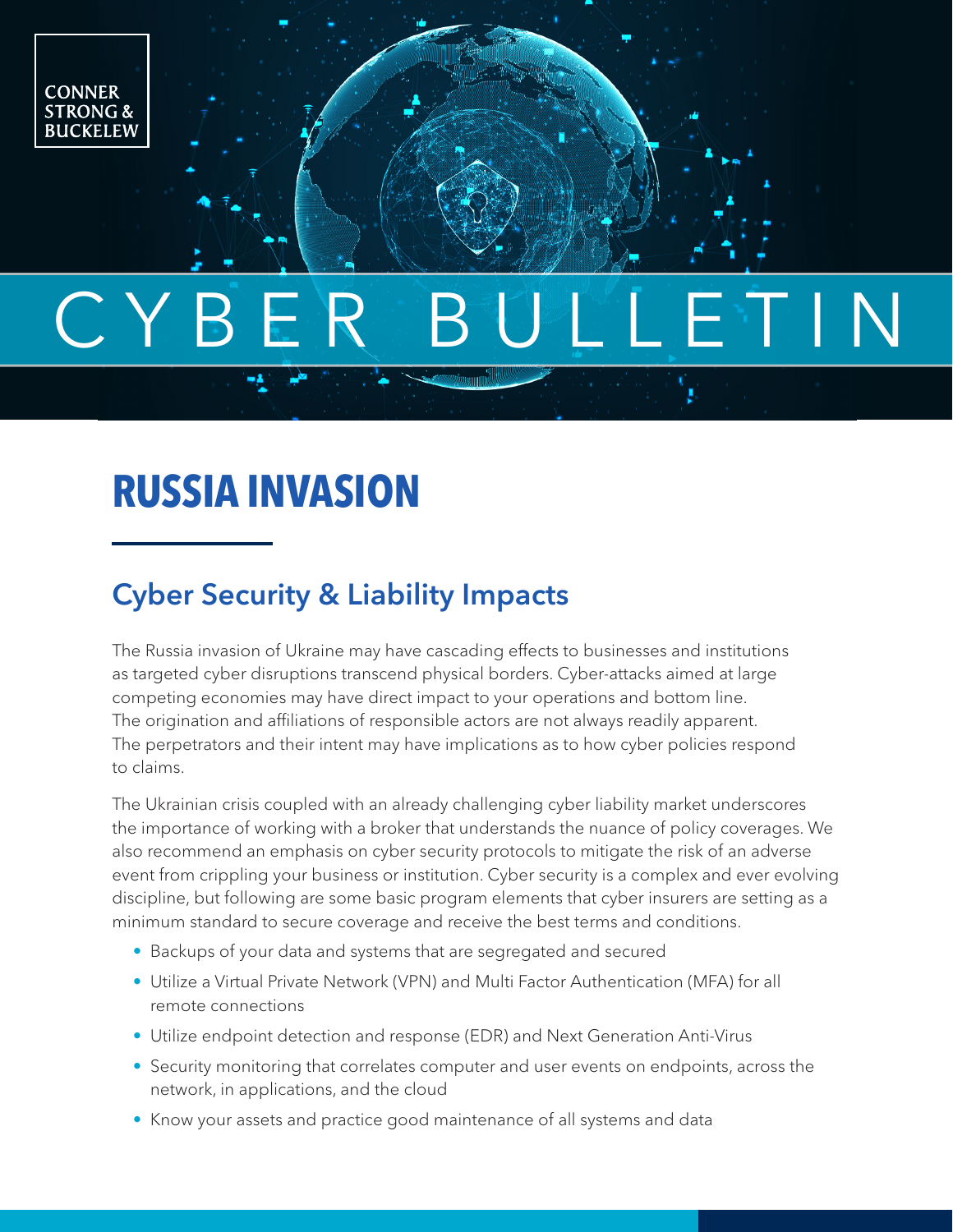

# C Y B

### **RUSSIA INVASION**

#### Cyber Security & Liability Impacts

The Russia invasion of Ukraine may have cascading effects to businesses and institutions as targeted cyber disruptions transcend physical borders. Cyber-attacks aimed at large competing economies may have direct impact to your operations and bottom line. The origination and affiliations of responsible actors are not always readily apparent. The perpetrators and their intent may have implications as to how cyber policies respond to claims.

The Ukrainian crisis coupled with an already challenging cyber liability market underscores the importance of working with a broker that understands the nuance of policy coverages. We also recommend an emphasis on cyber security protocols to mitigate the risk of an adverse event from crippling your business or institution. Cyber security is a complex and ever evolving discipline, but following are some basic program elements that cyber insurers are setting as a minimum standard to secure coverage and receive the best terms and conditions.

- Backups of your data and systems that are segregated and secured
- Utilize a Virtual Private Network (VPN) and Multi Factor Authentication (MFA) for all remote connections
- Utilize endpoint detection and response (EDR) and Next Generation Anti-Virus
- Security monitoring that correlates computer and user events on endpoints, across the network, in applications, and the cloud
- Know your assets and practice good maintenance of all systems and data